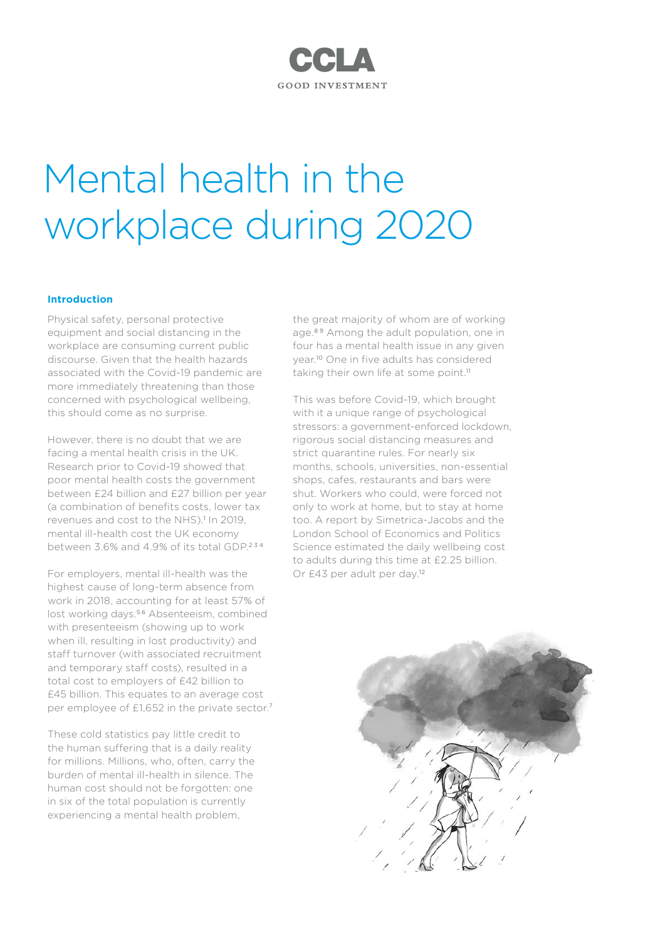# **CCLA GOOD INVESTMENT**

# Mental health in the workplace during 2020

# **Introduction**

Physical safety, personal protective equipment and social distancing in the workplace are consuming current public discourse. Given that the health hazards associated with the Covid-19 pandemic are more immediately threatening than those concerned with psychological wellbeing, this should come as no surprise.

However, there is no doubt that we are facing a mental health crisis in the UK. Research prior to Covid-19 showed that poor mental health costs the government between £24 billion and £27 billion per year (a combination of benefits costs, lower tax revenues and cost to the NHS).<sup>1</sup> In 2019, mental ill-health cost the UK economy between 3.6% and 4.9% of its total GDP.<sup>234</sup>

For employers, mental ill-health was the highest cause of long-term absence from work in 2018, accounting for at least 57% of lost working days.<sup>56</sup> Absenteeism, combined with presenteeism (showing up to work when ill, resulting in lost productivity) and staff turnover (with associated recruitment and temporary staff costs), resulted in a total cost to employers of £42 billion to £45 billion. This equates to an average cost per employee of £1,652 in the private sector.<sup>7</sup>

These cold statistics pay little credit to the human suffering that is a daily reality for millions. Millions, who, often, carry the burden of mental ill-health in silence. The human cost should not be forgotten: one in six of the total population is currently experiencing a mental health problem,

the great majority of whom are of working age.<sup>89</sup> Among the adult population, one in four has a mental health issue in any given year.10 One in five adults has considered taking their own life at some point.<sup>11</sup>

This was before Covid-19, which brought with it a unique range of psychological stressors: a government-enforced lockdown, rigorous social distancing measures and strict quarantine rules. For nearly six months, schools, universities, non-essential shops, cafes, restaurants and bars were shut. Workers who could, were forced not only to work at home, but to stay at home too. A report by Simetrica-Jacobs and the London School of Economics and Politics Science estimated the daily wellbeing cost to adults during this time at £2.25 billion. Or £43 per adult per day.<sup>12</sup>

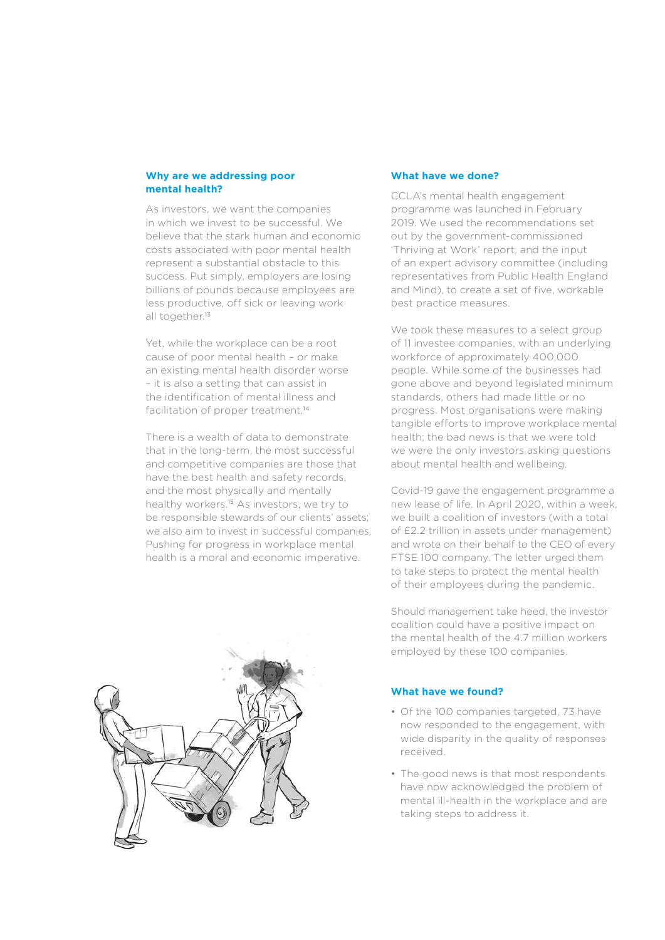#### **Why are we addressing poor mental health?**

As investors, we want the companies in which we invest to be successful. We believe that the stark human and economic costs associated with poor mental health represent a substantial obstacle to this success. Put simply, employers are losing billions of pounds because employees are less productive, off sick or leaving work all together.<sup>13</sup>

Yet, while the workplace can be a root cause of poor mental health – or make an existing mental health disorder worse – it is also a setting that can assist in the identification of mental illness and facilitation of proper treatment.<sup>14</sup>

There is a wealth of data to demonstrate that in the long-term, the most successful and competitive companies are those that have the best health and safety records, and the most physically and mentally healthy workers.<sup>15</sup> As investors, we try to be responsible stewards of our clients' assets; we also aim to invest in successful companies. Pushing for progress in workplace mental health is a moral and economic imperative.

#### **What have we done?**

CCLA's mental health engagement programme was launched in February 2019. We used the recommendations set out by the government-commissioned 'Thriving at Work' report, and the input of an expert advisory committee (including representatives from Public Health England and Mind), to create a set of five, workable best practice measures.

We took these measures to a select group of 11 investee companies, with an underlying workforce of approximately 400,000 people. While some of the businesses had gone above and beyond legislated minimum standards, others had made little or no progress. Most organisations were making tangible efforts to improve workplace mental health; the bad news is that we were told we were the only investors asking questions about mental health and wellbeing.

Covid-19 gave the engagement programme a new lease of life. In April 2020, within a week, we built a coalition of investors (with a total of £2.2 trillion in assets under management) and wrote on their behalf to the CEO of every FTSE 100 company. The letter urged them to take steps to protect the mental health of their employees during the pandemic.

Should management take heed, the investor coalition could have a positive impact on the mental health of the 4.7 million workers employed by these 100 companies.

## **What have we found?**

- Of the 100 companies targeted, 73 have now responded to the engagement, with wide disparity in the quality of responses received.
- The good news is that most respondents have now acknowledged the problem of mental ill-health in the workplace and are taking steps to address it.

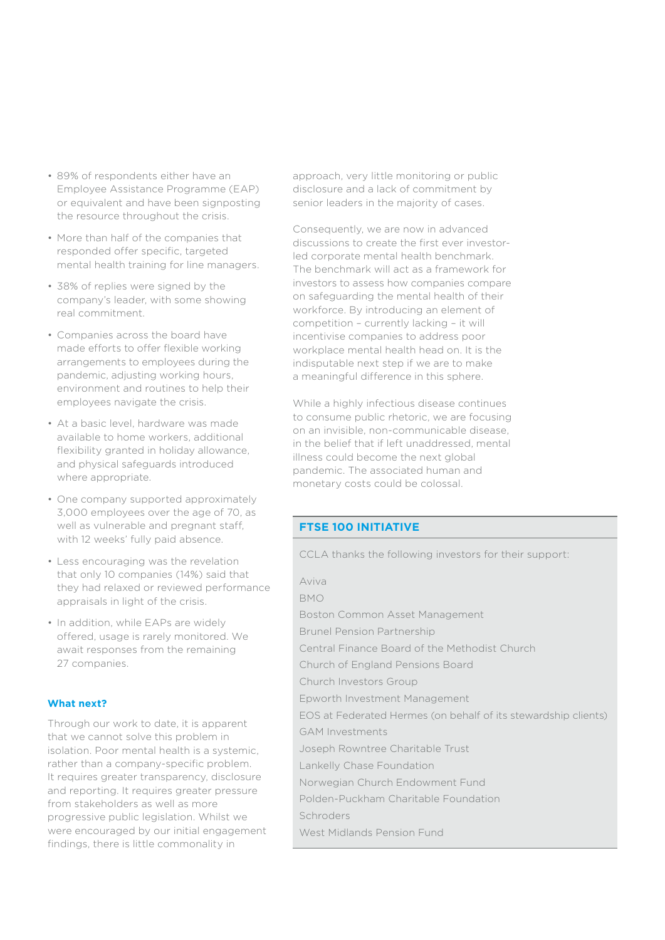- 89% of respondents either have an Employee Assistance Programme (EAP) or equivalent and have been signposting the resource throughout the crisis.
- More than half of the companies that responded offer specific, targeted mental health training for line managers.
- 38% of replies were signed by the company's leader, with some showing real commitment.
- Companies across the board have made efforts to offer flexible working arrangements to employees during the pandemic, adjusting working hours, environment and routines to help their employees navigate the crisis.
- At a basic level, hardware was made available to home workers, additional flexibility granted in holiday allowance, and physical safeguards introduced where appropriate.
- One company supported approximately 3,000 employees over the age of 70, as well as vulnerable and pregnant staff, with 12 weeks' fully paid absence.
- Less encouraging was the revelation that only 10 companies (14%) said that they had relaxed or reviewed performance appraisals in light of the crisis.
- In addition, while EAPs are widely offered, usage is rarely monitored. We await responses from the remaining 27 companies.

# **What next?**

Through our work to date, it is apparent that we cannot solve this problem in isolation. Poor mental health is a systemic, rather than a company-specific problem. It requires greater transparency, disclosure and reporting. It requires greater pressure from stakeholders as well as more progressive public legislation. Whilst we were encouraged by our initial engagement findings, there is little commonality in

approach, very little monitoring or public disclosure and a lack of commitment by senior leaders in the majority of cases.

Consequently, we are now in advanced discussions to create the first ever investorled corporate mental health benchmark. The benchmark will act as a framework for investors to assess how companies compare on safeguarding the mental health of their workforce. By introducing an element of competition – currently lacking – it will incentivise companies to address poor workplace mental health head on. It is the indisputable next step if we are to make a meaningful difference in this sphere.

While a highly infectious disease continues to consume public rhetoric, we are focusing on an invisible, non-communicable disease, in the belief that if left unaddressed, mental illness could become the next global pandemic. The associated human and monetary costs could be colossal.

# **FTSE 100 INITIATIVE**

CCLA thanks the following investors for their support:

| Aviva                                                          |
|----------------------------------------------------------------|
| <b>BMO</b>                                                     |
| Boston Common Asset Management                                 |
| <b>Brunel Pension Partnership</b>                              |
| Central Finance Board of the Methodist Church                  |
| Church of England Pensions Board                               |
| Church Investors Group                                         |
| Epworth Investment Management                                  |
| EOS at Federated Hermes (on behalf of its stewardship clients) |
| <b>GAM Investments</b>                                         |
| Joseph Rowntree Charitable Trust                               |
| Lankelly Chase Foundation                                      |
| Norwegian Church Endowment Fund                                |
| Polden-Puckham Charitable Foundation                           |
| Schroders                                                      |
| West Midlands Pension Fund                                     |